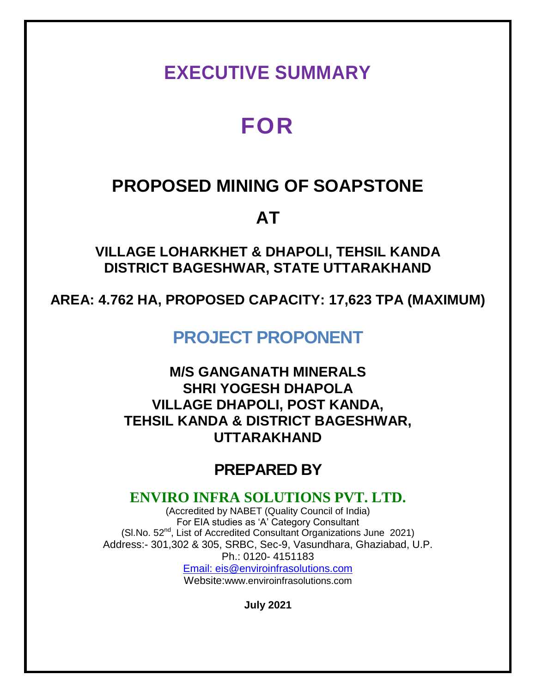## **EXECUTIVE SUMMARY**

# **FOR**

### **PROPOSED MINING OF SOAPSTONE**

## **AT**

**VILLAGE LOHARKHET & DHAPOLI, TEHSIL KANDA DISTRICT BAGESHWAR, STATE UTTARAKHAND**

**AREA: 4.762 HA, PROPOSED CAPACITY: 17,623 TPA (MAXIMUM)**

**PROJECT PROPONENT**

**M/S GANGANATH MINERALS SHRI YOGESH DHAPOLA VILLAGE DHAPOLI, POST KANDA, TEHSIL KANDA & DISTRICT BAGESHWAR, UTTARAKHAND**

### **PREPARED BY**

### **ENVIRO INFRA SOLUTIONS PVT. LTD.**

(Accredited by NABET (Quality Council of India) For EIA studies as 'A' Category Consultant (Sl.No. 52nd, List of Accredited Consultant Organizations June 2021) Address:- 301,302 & 305, SRBC, Sec-9, Vasundhara, Ghaziabad, U.P. Ph.: 0120- 4151183 Email: eis@enviroinfrasolutions.com

Website:www.enviroinfrasolutions.com

**July 2021**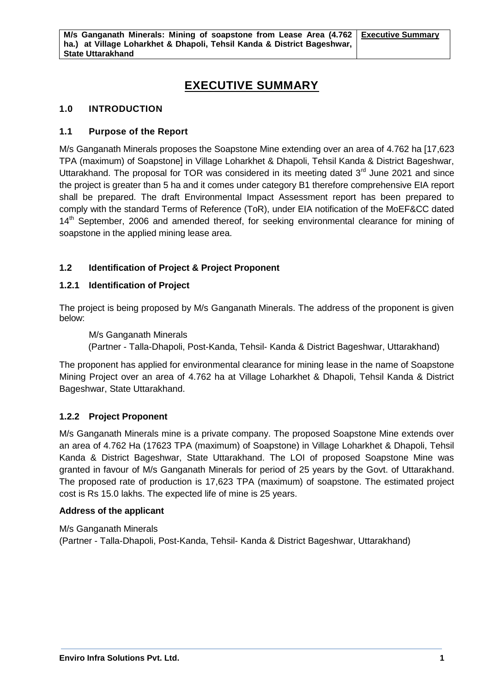### **EXECUTIVE SUMMARY**

#### **1.0 INTRODUCTION**

#### **1.1 Purpose of the Report**

M/s Ganganath Minerals proposes the Soapstone Mine extending over an area of 4.762 ha [17,623 TPA (maximum) of Soapstone] in Village Loharkhet & Dhapoli, Tehsil Kanda & District Bageshwar, Uttarakhand. The proposal for TOR was considered in its meeting dated 3<sup>rd</sup> June 2021 and since the project is greater than 5 ha and it comes under category B1 therefore comprehensive EIA report shall be prepared. The draft Environmental Impact Assessment report has been prepared to comply with the standard Terms of Reference (ToR), under EIA notification of the MoEF&CC dated 14<sup>th</sup> September, 2006 and amended thereof, for seeking environmental clearance for mining of soapstone in the applied mining lease area.

#### **1.2 Identification of Project & Project Proponent**

#### **1.2.1 Identification of Project**

The project is being proposed by M/s Ganganath Minerals. The address of the proponent is given below:

M/s Ganganath Minerals

(Partner - Talla-Dhapoli, Post-Kanda, Tehsil- Kanda & District Bageshwar, Uttarakhand)

The proponent has applied for environmental clearance for mining lease in the name of Soapstone Mining Project over an area of 4.762 ha at Village Loharkhet & Dhapoli, Tehsil Kanda & District Bageshwar, State Uttarakhand.

#### **1.2.2 Project Proponent**

M/s Ganganath Minerals mine is a private company. The proposed Soapstone Mine extends over an area of 4.762 Ha (17623 TPA (maximum) of Soapstone) in Village Loharkhet & Dhapoli, Tehsil Kanda & District Bageshwar, State Uttarakhand. The LOI of proposed Soapstone Mine was granted in favour of M/s Ganganath Minerals for period of 25 years by the Govt. of Uttarakhand. The proposed rate of production is 17,623 TPA (maximum) of soapstone. The estimated project cost is Rs 15.0 lakhs. The expected life of mine is 25 years.

#### **Address of the applicant**

M/s Ganganath Minerals (Partner - Talla-Dhapoli, Post-Kanda, Tehsil- Kanda & District Bageshwar, Uttarakhand)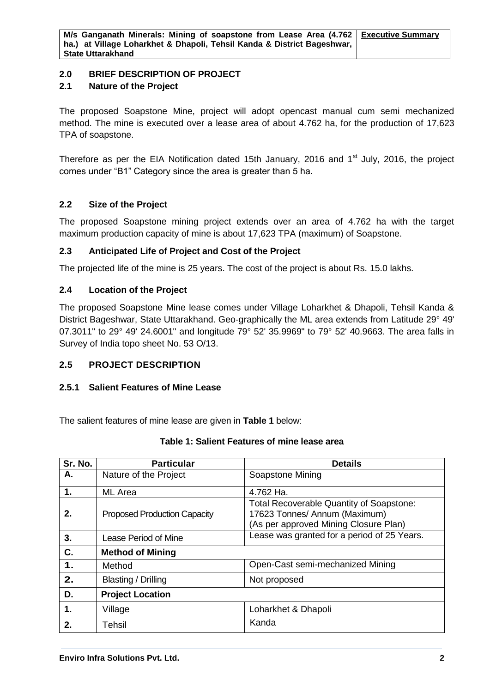#### **2.0 BRIEF DESCRIPTION OF PROJECT**

#### **2.1 Nature of the Project**

The proposed Soapstone Mine, project will adopt opencast manual cum semi mechanized method. The mine is executed over a lease area of about 4.762 ha, for the production of 17,623 TPA of soapstone.

Therefore as per the EIA Notification dated 15th January, 2016 and 1<sup>st</sup> July, 2016, the project comes under "B1" Category since the area is greater than 5 ha.

#### **2.2 Size of the Project**

The proposed Soapstone mining project extends over an area of 4.762 ha with the target maximum production capacity of mine is about 17,623 TPA (maximum) of Soapstone.

#### **2.3 Anticipated Life of Project and Cost of the Project**

The projected life of the mine is 25 years. The cost of the project is about Rs. 15.0 lakhs.

#### **2.4 Location of the Project**

The proposed Soapstone Mine lease comes under Village Loharkhet & Dhapoli, Tehsil Kanda & District Bageshwar, State Uttarakhand. Geo-graphically the ML area extends from Latitude 29° 49' 07.3011" to 29° 49' 24.6001" and longitude 79° 52' 35.9969" to 79° 52' 40.9663. The area falls in Survey of India topo sheet No. 53 O/13.

#### **2.5 PROJECT DESCRIPTION**

#### **2.5.1 Salient Features of Mine Lease**

The salient features of mine lease are given in **Table 1** below:

| Sr. No.       | <b>Particular</b>                   | <b>Details</b>                                                                                                            |
|---------------|-------------------------------------|---------------------------------------------------------------------------------------------------------------------------|
| А.            | Nature of the Project               | Soapstone Mining                                                                                                          |
| 1.            | <b>ML</b> Area                      | 4.762 Ha.                                                                                                                 |
| 2.            | <b>Proposed Production Capacity</b> | <b>Total Recoverable Quantity of Soapstone:</b><br>17623 Tonnes/ Annum (Maximum)<br>(As per approved Mining Closure Plan) |
| 3.            | <b>Lease Period of Mine</b>         | Lease was granted for a period of 25 Years.                                                                               |
| C.            | <b>Method of Mining</b>             |                                                                                                                           |
| $\mathbf 1$ . | Method                              | Open-Cast semi-mechanized Mining                                                                                          |
| 2.            | Blasting / Drilling                 | Not proposed                                                                                                              |
| D.            | <b>Project Location</b>             |                                                                                                                           |
| 1.            | Village                             | Loharkhet & Dhapoli                                                                                                       |
| 2.            | Tehsil                              | Kanda                                                                                                                     |

#### **Table 1: Salient Features of mine lease area**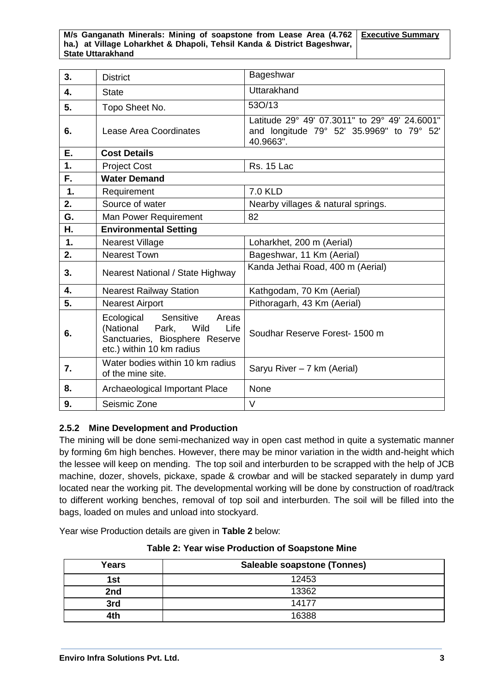#### **M/s Ganganath Minerals: Mining of soapstone from Lease Area (4.762 ha.) at Village Loharkhet & Dhapoli, Tehsil Kanda & District Bageshwar, State Uttarakhand Executive Summary**

| 3. | <b>District</b>                                                                                                                    | Bageshwar                                                                                               |
|----|------------------------------------------------------------------------------------------------------------------------------------|---------------------------------------------------------------------------------------------------------|
| 4. | <b>State</b>                                                                                                                       | Uttarakhand                                                                                             |
| 5. | Topo Sheet No.                                                                                                                     | 53O/13                                                                                                  |
| 6. | Lease Area Coordinates                                                                                                             | Latitude 29° 49' 07.3011" to 29° 49' 24.6001"<br>and longitude 79° 52' 35.9969" to 79° 52'<br>40.9663". |
| Ε. | <b>Cost Details</b>                                                                                                                |                                                                                                         |
| 1. | <b>Project Cost</b>                                                                                                                | <b>Rs. 15 Lac</b>                                                                                       |
| F. | <b>Water Demand</b>                                                                                                                |                                                                                                         |
| 1. | Requirement                                                                                                                        | <b>7.0 KLD</b>                                                                                          |
| 2. | Source of water                                                                                                                    | Nearby villages & natural springs.                                                                      |
| G. | Man Power Requirement                                                                                                              | 82                                                                                                      |
| Η. | <b>Environmental Setting</b>                                                                                                       |                                                                                                         |
| 1. | <b>Nearest Village</b>                                                                                                             | Loharkhet, 200 m (Aerial)                                                                               |
| 2. | <b>Nearest Town</b>                                                                                                                | Bageshwar, 11 Km (Aerial)                                                                               |
| 3. | Nearest National / State Highway                                                                                                   | Kanda Jethai Road, 400 m (Aerial)                                                                       |
| 4. | <b>Nearest Railway Station</b>                                                                                                     | Kathgodam, 70 Km (Aerial)                                                                               |
| 5. | <b>Nearest Airport</b>                                                                                                             | Pithoragarh, 43 Km (Aerial)                                                                             |
| 6. | Sensitive<br>Ecological<br>Areas<br>(National<br>Park, Wild<br>Life<br>Sanctuaries, Biosphere Reserve<br>etc.) within 10 km radius | Soudhar Reserve Forest- 1500 m                                                                          |
| 7. | Water bodies within 10 km radius<br>of the mine site.                                                                              | Saryu River - 7 km (Aerial)                                                                             |
| 8. | Archaeological Important Place                                                                                                     | None                                                                                                    |
| 9. | Seismic Zone                                                                                                                       | V                                                                                                       |

#### **2.5.2 Mine Development and Production**

The mining will be done semi-mechanized way in open cast method in quite a systematic manner by forming 6m high benches. However, there may be minor variation in the width and-height which the lessee will keep on mending. The top soil and interburden to be scrapped with the help of JCB machine, dozer, shovels, pickaxe, spade & crowbar and will be stacked separately in dump yard located near the working pit. The developmental working will be done by construction of road/track to different working benches, removal of top soil and interburden. The soil will be filled into the bags, loaded on mules and unload into stockyard.

Year wise Production details are given in **Table 2** below:

| Years | <b>Saleable soapstone (Tonnes)</b> |  |
|-------|------------------------------------|--|
| 1st   | 12453                              |  |
| 2nd   | 13362                              |  |
| 3rd   | 14177                              |  |
| 4th   | 16388                              |  |

**Table 2: Year wise Production of Soapstone Mine**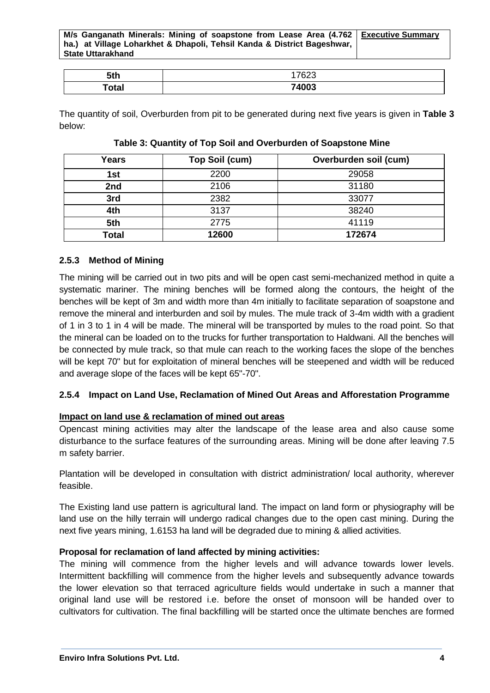**M/s Ganganath Minerals: Mining of soapstone from Lease Area (4.762 ha.) at Village Loharkhet & Dhapoli, Tehsil Kanda & District Bageshwar, State Uttarakhand Executive Summary**

| 5th   | 17000<br>്∠ാ |
|-------|--------------|
| 'otal | 74003        |

The quantity of soil, Overburden from pit to be generated during next five years is given in **Table 3** below:

| Years | Top Soil (cum) | Overburden soil (cum) |
|-------|----------------|-----------------------|
| 1st   | 2200           | 29058                 |
| 2nd   | 2106           | 31180                 |
| 3rd   | 2382           | 33077                 |
| 4th   | 3137           | 38240                 |
| 5th   | 2775           | 41119                 |
| Total | 12600          | 172674                |

#### **Table 3: Quantity of Top Soil and Overburden of Soapstone Mine**

#### **2.5.3 Method of Mining**

The mining will be carried out in two pits and will be open cast semi-mechanized method in quite a systematic mariner. The mining benches will be formed along the contours, the height of the benches will be kept of 3m and width more than 4m initially to facilitate separation of soapstone and remove the mineral and interburden and soil by mules. The mule track of 3-4m width with a gradient of 1 in 3 to 1 in 4 will be made. The mineral will be transported by mules to the road point. So that the mineral can be loaded on to the trucks for further transportation to Haldwani. All the benches will be connected by mule track, so that mule can reach to the working faces the slope of the benches will be kept 70" but for exploitation of mineral benches will be steepened and width will be reduced and average slope of the faces will be kept 65"-70".

#### **2.5.4 Impact on Land Use, Reclamation of Mined Out Areas and Afforestation Programme**

#### **Impact on land use & reclamation of mined out areas**

Opencast mining activities may alter the landscape of the lease area and also cause some disturbance to the surface features of the surrounding areas. Mining will be done after leaving 7.5 m safety barrier.

Plantation will be developed in consultation with district administration/ local authority, wherever feasible.

The Existing land use pattern is agricultural land. The impact on land form or physiography will be land use on the hilly terrain will undergo radical changes due to the open cast mining. During the next five years mining, 1.6153 ha land will be degraded due to mining & allied activities.

#### **Proposal for reclamation of land affected by mining activities:**

The mining will commence from the higher levels and will advance towards lower levels. Intermittent backfilling will commence from the higher levels and subsequently advance towards the lower elevation so that terraced agriculture fields would undertake in such a manner that original land use will be restored i.e. before the onset of monsoon will be handed over to cultivators for cultivation. The final backfilling will be started once the ultimate benches are formed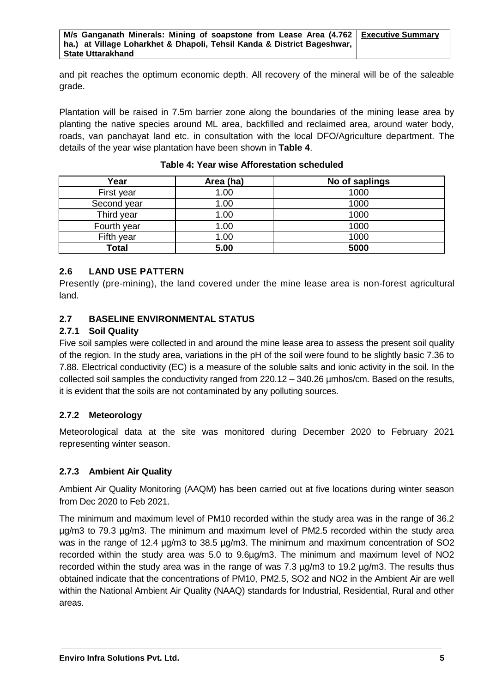and pit reaches the optimum economic depth. All recovery of the mineral will be of the saleable grade.

Plantation will be raised in 7.5m barrier zone along the boundaries of the mining lease area by planting the native species around ML area, backfilled and reclaimed area, around water body, roads, van panchayat land etc. in consultation with the local DFO/Agriculture department. The details of the year wise plantation have been shown in **Table 4**.

| Year         | Area (ha) | No of saplings |
|--------------|-----------|----------------|
| First year   | 1.00      | 1000           |
| Second year  | 1.00      | 1000           |
| Third year   | 1.00      | 1000           |
| Fourth year  | 1.00      | 1000           |
| Fifth year   | 1.00      | 1000           |
| <b>Total</b> | 5.00      | 5000           |

**Table 4: Year wise Afforestation scheduled**

#### **2.6 LAND USE PATTERN**

Presently (pre-mining), the land covered under the mine lease area is non-forest agricultural land.

#### **2.7 BASELINE ENVIRONMENTAL STATUS**

#### **2.7.1 Soil Quality**

Five soil samples were collected in and around the mine lease area to assess the present soil quality of the region. In the study area, variations in the pH of the soil were found to be slightly basic 7.36 to 7.88. Electrical conductivity (EC) is a measure of the soluble salts and ionic activity in the soil. In the collected soil samples the conductivity ranged from 220.12 – 340.26 µmhos/cm. Based on the results, it is evident that the soils are not contaminated by any polluting sources.

#### **2.7.2 Meteorology**

Meteorological data at the site was monitored during December 2020 to February 2021 representing winter season.

#### **2.7.3 Ambient Air Quality**

Ambient Air Quality Monitoring (AAQM) has been carried out at five locations during winter season from Dec 2020 to Feb 2021.

The minimum and maximum level of PM10 recorded within the study area was in the range of 36.2 µg/m3 to 79.3 µg/m3. The minimum and maximum level of PM2.5 recorded within the study area was in the range of 12.4  $\mu$ g/m3 to 38.5  $\mu$ g/m3. The minimum and maximum concentration of SO2 recorded within the study area was 5.0 to 9.6µg/m3. The minimum and maximum level of NO2 recorded within the study area was in the range of was 7.3 µg/m3 to 19.2 µg/m3. The results thus obtained indicate that the concentrations of PM10, PM2.5, SO2 and NO2 in the Ambient Air are well within the National Ambient Air Quality (NAAQ) standards for Industrial, Residential, Rural and other areas.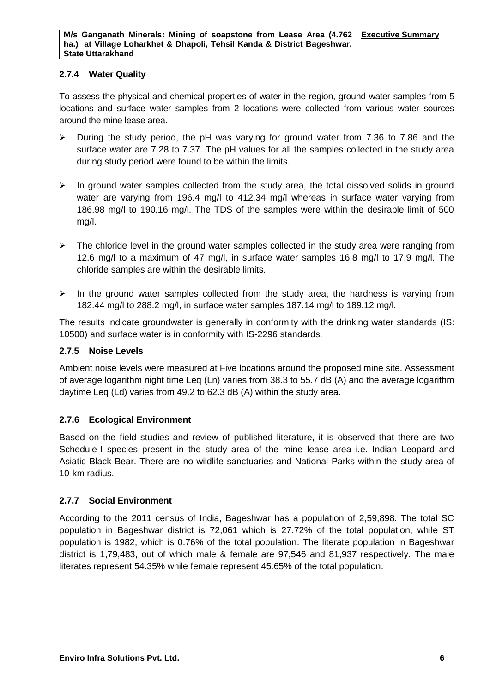#### **2.7.4 Water Quality**

To assess the physical and chemical properties of water in the region, ground water samples from 5 locations and surface water samples from 2 locations were collected from various water sources around the mine lease area.

- $\triangleright$  During the study period, the pH was varying for ground water from 7.36 to 7.86 and the surface water are 7.28 to 7.37. The pH values for all the samples collected in the study area during study period were found to be within the limits.
- $\triangleright$  In ground water samples collected from the study area, the total dissolved solids in ground water are varying from 196.4 mg/l to 412.34 mg/l whereas in surface water varying from 186.98 mg/l to 190.16 mg/l. The TDS of the samples were within the desirable limit of 500 mg/l.
- $\triangleright$  The chloride level in the ground water samples collected in the study area were ranging from 12.6 mg/l to a maximum of 47 mg/l, in surface water samples 16.8 mg/l to 17.9 mg/l. The chloride samples are within the desirable limits.
- $\triangleright$  In the ground water samples collected from the study area, the hardness is varying from 182.44 mg/l to 288.2 mg/l, in surface water samples 187.14 mg/l to 189.12 mg/l.

The results indicate groundwater is generally in conformity with the drinking water standards (IS: 10500) and surface water is in conformity with IS-2296 standards.

#### **2.7.5 Noise Levels**

Ambient noise levels were measured at Five locations around the proposed mine site. Assessment of average logarithm night time Leq (Ln) varies from 38.3 to 55.7 dB (A) and the average logarithm daytime Leq (Ld) varies from 49.2 to 62.3 dB (A) within the study area.

#### **2.7.6 Ecological Environment**

Based on the field studies and review of published literature, it is observed that there are two Schedule-I species present in the study area of the mine lease area i.e. Indian Leopard and Asiatic Black Bear. There are no wildlife sanctuaries and National Parks within the study area of 10-km radius.

#### **2.7.7 Social Environment**

According to the 2011 census of India, Bageshwar has a population of 2,59,898. The total SC population in Bageshwar district is 72,061 which is 27.72% of the total population, while ST population is 1982, which is 0.76% of the total population. The literate population in Bageshwar district is 1,79,483, out of which male & female are 97,546 and 81,937 respectively. The male literates represent 54.35% while female represent 45.65% of the total population.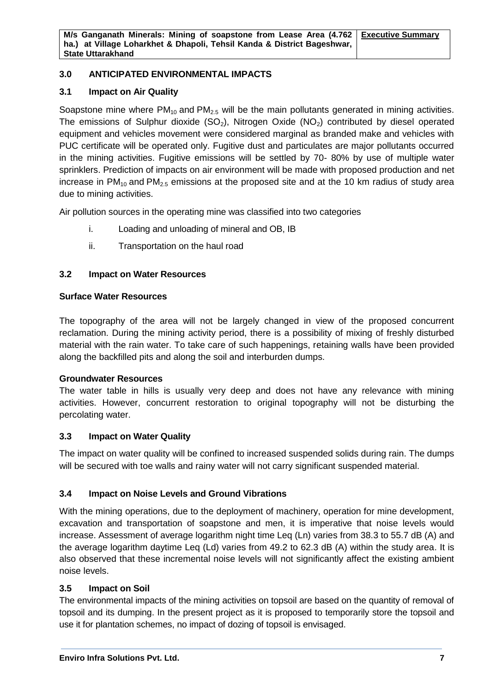#### **3.0 ANTICIPATED ENVIRONMENTAL IMPACTS**

#### **3.1 Impact on Air Quality**

Soapstone mine where  $PM_{10}$  and  $PM_{2.5}$  will be the main pollutants generated in mining activities. The emissions of Sulphur dioxide  $(SO_2)$ , Nitrogen Oxide  $(NO_2)$  contributed by diesel operated equipment and vehicles movement were considered marginal as branded make and vehicles with PUC certificate will be operated only. Fugitive dust and particulates are major pollutants occurred in the mining activities. Fugitive emissions will be settled by 70- 80% by use of multiple water sprinklers. Prediction of impacts on air environment will be made with proposed production and net increase in  $PM_{10}$  and  $PM_{2.5}$  emissions at the proposed site and at the 10 km radius of study area due to mining activities.

Air pollution sources in the operating mine was classified into two categories

- i. Loading and unloading of mineral and OB, IB
- ii. Transportation on the haul road

#### **3.2 Impact on Water Resources**

#### **Surface Water Resources**

The topography of the area will not be largely changed in view of the proposed concurrent reclamation. During the mining activity period, there is a possibility of mixing of freshly disturbed material with the rain water. To take care of such happenings, retaining walls have been provided along the backfilled pits and along the soil and interburden dumps.

#### **Groundwater Resources**

The water table in hills is usually very deep and does not have any relevance with mining activities. However, concurrent restoration to original topography will not be disturbing the percolating water.

#### **3.3 Impact on Water Quality**

The impact on water quality will be confined to increased suspended solids during rain. The dumps will be secured with toe walls and rainy water will not carry significant suspended material.

#### **3.4 Impact on Noise Levels and Ground Vibrations**

With the mining operations, due to the deployment of machinery, operation for mine development, excavation and transportation of soapstone and men, it is imperative that noise levels would increase. Assessment of average logarithm night time Leq (Ln) varies from 38.3 to 55.7 dB (A) and the average logarithm daytime Leq (Ld) varies from 49.2 to 62.3 dB (A) within the study area. It is also observed that these incremental noise levels will not significantly affect the existing ambient noise levels.

#### **3.5 Impact on Soil**

The environmental impacts of the mining activities on topsoil are based on the quantity of removal of topsoil and its dumping. In the present project as it is proposed to temporarily store the topsoil and use it for plantation schemes, no impact of dozing of topsoil is envisaged.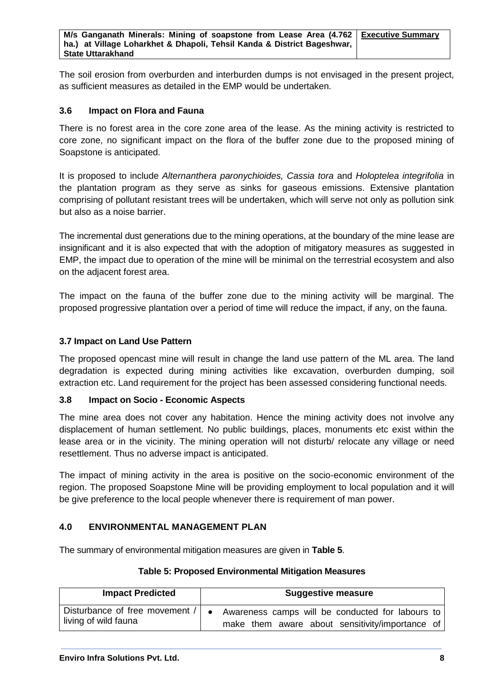The soil erosion from overburden and interburden dumps is not envisaged in the present project, as sufficient measures as detailed in the EMP would be undertaken.

#### **3.6 Impact on Flora and Fauna**

There is no forest area in the core zone area of the lease. As the mining activity is restricted to core zone, no significant impact on the flora of the buffer zone due to the proposed mining of Soapstone is anticipated.

It is proposed to include *Alternanthera paronychioides, Cassia tora* and *Holoptelea integrifolia* in the plantation program as they serve as sinks for gaseous emissions. Extensive plantation comprising of pollutant resistant trees will be undertaken, which will serve not only as pollution sink but also as a noise barrier.

The incremental dust generations due to the mining operations, at the boundary of the mine lease are insignificant and it is also expected that with the adoption of mitigatory measures as suggested in EMP, the impact due to operation of the mine will be minimal on the terrestrial ecosystem and also on the adjacent forest area.

The impact on the fauna of the buffer zone due to the mining activity will be marginal. The proposed progressive plantation over a period of time will reduce the impact, if any, on the fauna.

#### **3.7 Impact on Land Use Pattern**

The proposed opencast mine will result in change the land use pattern of the ML area. The land degradation is expected during mining activities like excavation, overburden dumping, soil extraction etc. Land requirement for the project has been assessed considering functional needs.

#### **3.8 Impact on Socio - Economic Aspects**

The mine area does not cover any habitation. Hence the mining activity does not involve any displacement of human settlement. No public buildings, places, monuments etc exist within the lease area or in the vicinity. The mining operation will not disturb/ relocate any village or need resettlement. Thus no adverse impact is anticipated.

The impact of mining activity in the area is positive on the socio-economic environment of the region. The proposed Soapstone Mine will be providing employment to local population and it will be give preference to the local people whenever there is requirement of man power.

#### **4.0 ENVIRONMENTAL MANAGEMENT PLAN**

The summary of environmental mitigation measures are given in **Table 5**.

#### **Table 5: Proposed Environmental Mitigation Measures**

| <b>Impact Predicted</b>        | <b>Suggestive measure</b>                        |
|--------------------------------|--------------------------------------------------|
| Disturbance of free movement / | Awareness camps will be conducted for labours to |
| living of wild fauna           | make them aware about sensitivity/importance of  |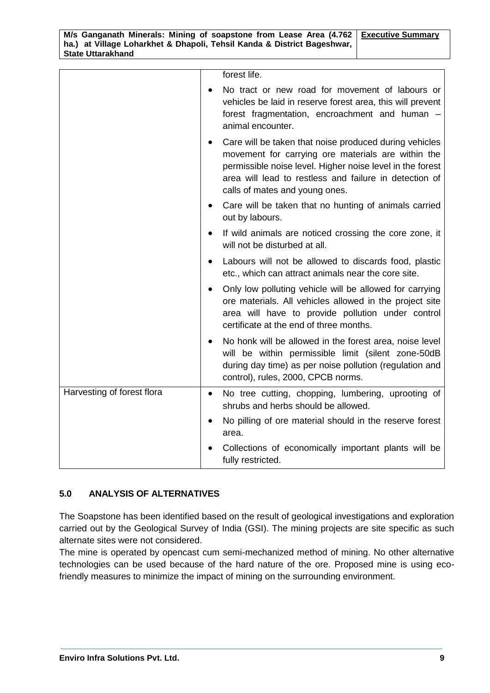|                            | forest life.                                                                                                                                                                                                                                                          |
|----------------------------|-----------------------------------------------------------------------------------------------------------------------------------------------------------------------------------------------------------------------------------------------------------------------|
|                            | No tract or new road for movement of labours or<br>vehicles be laid in reserve forest area, this will prevent<br>forest fragmentation, encroachment and human -<br>animal encounter.                                                                                  |
|                            | Care will be taken that noise produced during vehicles<br>movement for carrying ore materials are within the<br>permissible noise level. Higher noise level in the forest<br>area will lead to restless and failure in detection of<br>calls of mates and young ones. |
|                            | Care will be taken that no hunting of animals carried<br>out by labours.                                                                                                                                                                                              |
|                            | If wild animals are noticed crossing the core zone, it<br>will not be disturbed at all.                                                                                                                                                                               |
|                            | Labours will not be allowed to discards food, plastic<br>$\bullet$<br>etc., which can attract animals near the core site.                                                                                                                                             |
|                            | Only low polluting vehicle will be allowed for carrying<br>$\bullet$<br>ore materials. All vehicles allowed in the project site<br>area will have to provide pollution under control<br>certificate at the end of three months.                                       |
|                            | No honk will be allowed in the forest area, noise level<br>$\bullet$<br>will be within permissible limit (silent zone-50dB<br>during day time) as per noise pollution (regulation and<br>control), rules, 2000, CPCB norms.                                           |
| Harvesting of forest flora | No tree cutting, chopping, lumbering, uprooting of<br>$\bullet$<br>shrubs and herbs should be allowed.                                                                                                                                                                |
|                            | No pilling of ore material should in the reserve forest<br>$\bullet$<br>area.                                                                                                                                                                                         |
|                            | Collections of economically important plants will be<br>fully restricted.                                                                                                                                                                                             |

#### **5.0 ANALYSIS OF ALTERNATIVES**

The Soapstone has been identified based on the result of geological investigations and exploration carried out by the Geological Survey of India (GSI). The mining projects are site specific as such alternate sites were not considered.

The mine is operated by opencast cum semi-mechanized method of mining. No other alternative technologies can be used because of the hard nature of the ore. Proposed mine is using ecofriendly measures to minimize the impact of mining on the surrounding environment.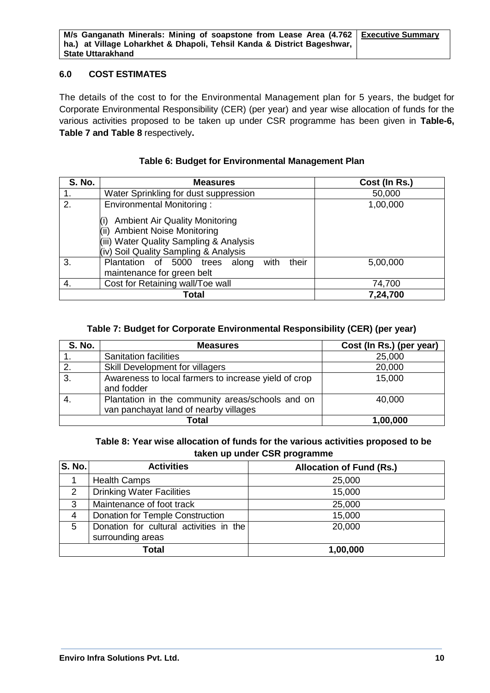#### **6.0 COST ESTIMATES**

The details of the cost to for the Environmental Management plan for 5 years, the budget for Corporate Environmental Responsibility (CER) (per year) and year wise allocation of funds for the various activities proposed to be taken up under CSR programme has been given in **Table-6, Table 7 and Table 8** respectively**.**

| <b>S. No.</b> | <b>Measures</b>                                                                                                                                              | Cost (In Rs.) |
|---------------|--------------------------------------------------------------------------------------------------------------------------------------------------------------|---------------|
| 1.            | Water Sprinkling for dust suppression                                                                                                                        | 50,000        |
| 2.            | <b>Environmental Monitoring:</b>                                                                                                                             | 1,00,000      |
|               | <b>Ambient Air Quality Monitoring</b><br><b>Ambient Noise Monitoring</b><br>(iii) Water Quality Sampling & Analysis<br>(iv) Soil Quality Sampling & Analysis |               |
| 3.            | their<br>Plantation of 5000 trees along<br>with<br>maintenance for green belt                                                                                | 5,00,000      |
| -4.           | Cost for Retaining wall/Toe wall                                                                                                                             | 74,700        |
|               | Total                                                                                                                                                        | 7,24,700      |

#### **Table 6: Budget for Environmental Management Plan**

#### **Table 7: Budget for Corporate Environmental Responsibility (CER) (per year)**

| <b>S. No.</b> | <b>Measures</b>                                                                           | Cost (In Rs.) (per year) |  |
|---------------|-------------------------------------------------------------------------------------------|--------------------------|--|
|               | <b>Sanitation facilities</b>                                                              | 25,000                   |  |
| 2.            | Skill Development for villagers                                                           | 20,000                   |  |
| 3.            | Awareness to local farmers to increase yield of crop<br>and fodder                        | 15,000                   |  |
| 4.            | Plantation in the community areas/schools and on<br>van panchayat land of nearby villages | 40,000                   |  |
|               | Total<br>1,00,000                                                                         |                          |  |

**Table 8: Year wise allocation of funds for the various activities proposed to be taken up under CSR programme**

| <b>S. No.</b> | <b>Activities</b>                                            | <b>Allocation of Fund (Rs.)</b> |
|---------------|--------------------------------------------------------------|---------------------------------|
|               | <b>Health Camps</b>                                          | 25,000                          |
| 2             | <b>Drinking Water Facilities</b>                             | 15,000                          |
| 3             | Maintenance of foot track                                    | 25,000                          |
| 4             | Donation for Temple Construction                             | 15,000                          |
| 5             | Donation for cultural activities in the<br>surrounding areas | 20,000                          |
| Total         |                                                              | 1,00,000                        |